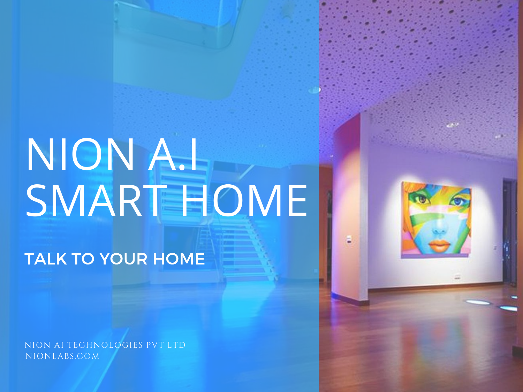# NION A.I SMART HOME

TALK TO YOUR HOME

NION AI TECHNOLOGIES PVT LTD NIONLABS.COM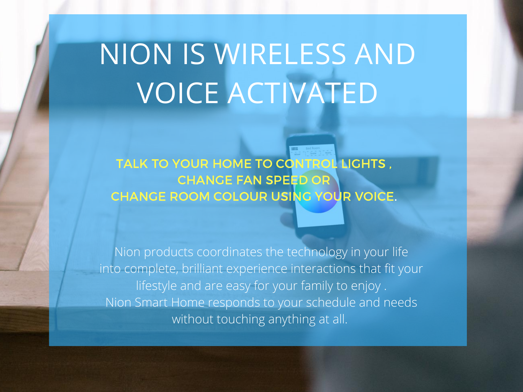## NION IS WIRELESS AND VOICE ACTIVATED

TALK TO YOUR HOME TO CONTROL LIGHTS, CHANGE FAN SPEED OR CHANGE ROOM COLOUR USING YOUR VOICE.

Nion products coordinates the technology in your life into complete, brilliant experience interactions that fit your lifestyle and are easy for your family to enjoy . Nion Smart Home responds to your schedule and needs without touching anything at all.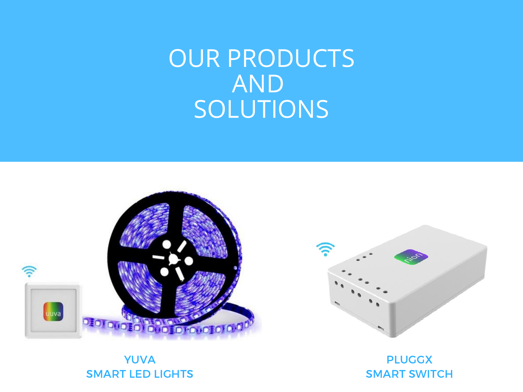### OUR PRODUCTS AND SOLUTIONS



#### YUVA SMART LED LIGHTS

PLUGGX SMART SWITCH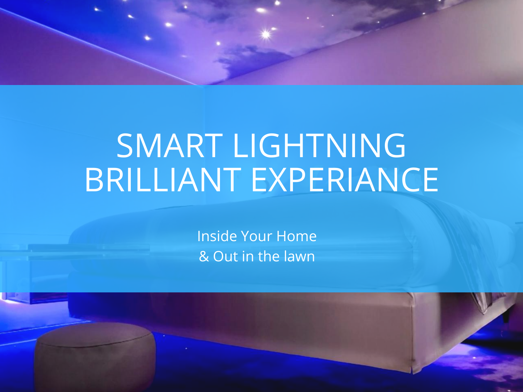

### SMART LIGHTNING BRILLIANT EXPERIANCE

Inside Your Home & Out in the lawn

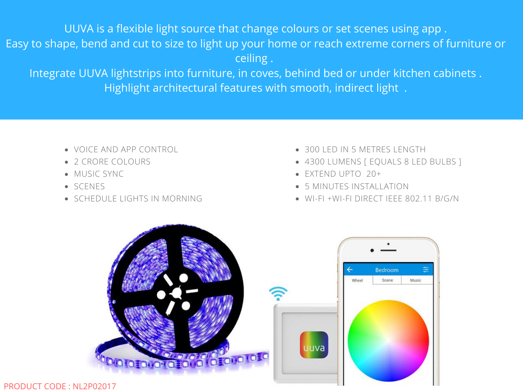UUVA is a flexible light source that change colours or set scenes using app . Easy to shape, bend and cut to size to light up your home or reach extreme corners of furniture or ceiling .

Integrate UUVA lightstrips into furniture, in coves, behind bed or under kitchen cabinets . Highlight architectural features with smooth, indirect light .

- VOICE AND APP CONTROL
- 2 CRORE COLOURS
- MUSIC SYNC
- SCENES
- SCHEDULE LIGHTS IN MORNING
- 300 LED IN 5 METRES LENGTH
- 4300 LUMENS [ EQUALS 8 LED BULBS ]
- EXTEND UPTO 20+
- 5 MINUTES INSTALLATION
- WI-FI +WI-FI DIRECT IEEE 802.11 B/G/N

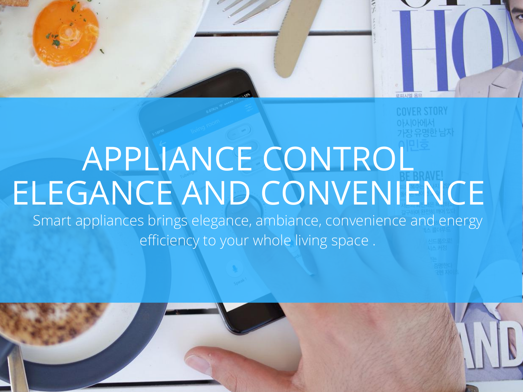

# APPLIANCE CONTROL ELEGANCE AND CONVENIENCE

Smart appliances brings elegance, ambiance, convenience and energy efficiency to your whole living space .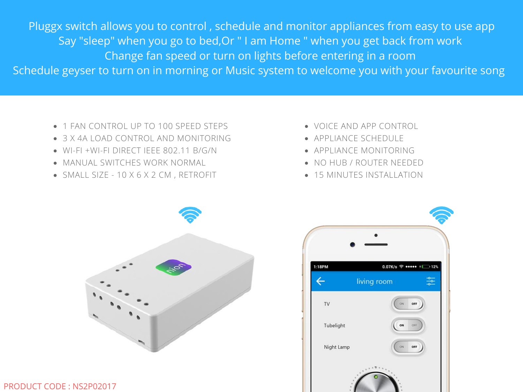Pluggx switch allows you to control , schedule and monitor appliances from easy to use app Say "sleep" when you go to bed,Or " I am Home " when you get back from work Change fan speed or turn on lights before entering in a room Schedule geyser to turn on in morning or Music system to welcome you with your favourite song

- 1 FAN CONTROL UP TO 100 SPEED STEPS
- 3 X 4A LOAD CONTROL AND MONITORING
- WI-FI +WI-FI DIRECT IEEE 802.11 B/G/N
- MANUAL SWITCHES WORK NORMAL
- SMALL SIZE 10 X 6 X 2 CM , RETROFIT
- VOICE AND APP CONTROL
- APPLIANCE SCHEDULE
- APPLIANCE MONITORING
- NO HUB / ROUTER NEEDED
- 15 MINUTES INSTALLATION



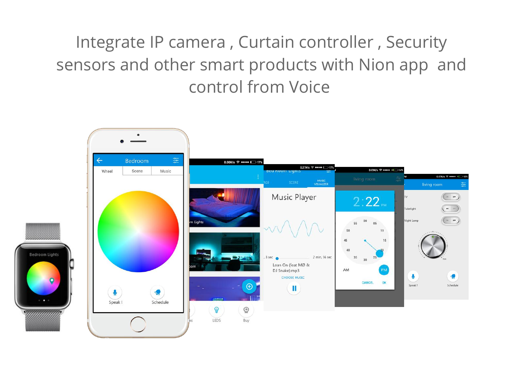#### Integrate IP camera , Curtain controller , Security sensors and other smart products with Nion app and control from Voice

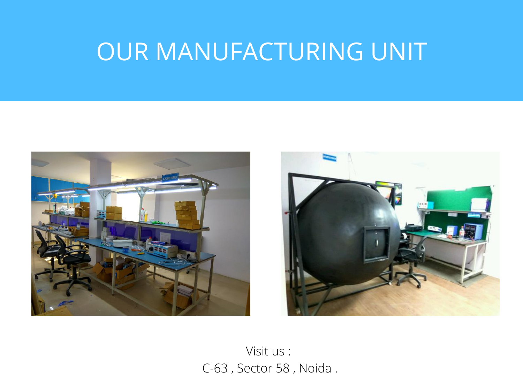### OUR MANUFACTURING UNIT





Visit us : C-63 , Sector 58 , Noida .